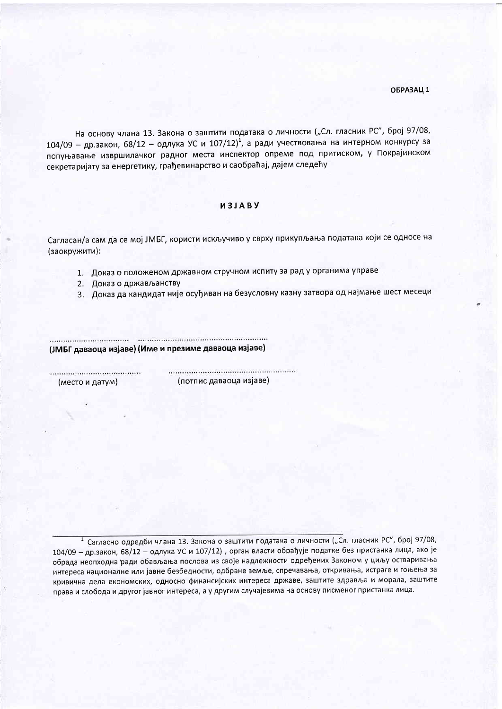На основу члана 13. Закона о заштити података о личности ("Сл. гласник РС", број 97/08, 104/09 - др.закон, 68/12 - одлука УС и 107/12)<sup>1</sup>, а ради учествовања на интерном конкурсу за попуњавање извршилачког радног места инспектор опреме под притиском, у Покрајинском секретаријату за енергетику, грађевинарство и саобраћај, дајем следећу

## *M3JABY*

Сагласан/а сам да се мој ЈМБГ, користи искључиво у сврху прикупљања података који се односе на (заокружити):

- 1. Доказ о положеном државном стручном испиту за рад у органима управе
- 2. Доказ о држављанству
- 3. Доказ да кандидат није осуђиван на безусловну казну затвора од најмање шест месеци

(ЈМБГ даваоца изјаве) (Име и презиме даваоца изјаве)

(место и датум)

(потпис даваоца изјаве)

<sup>1</sup> Сагласно одредби члана 13. Закона о заштити података о личности ("Сл. гласник РС", број 97/08, 104/09 - др.закон, 68/12 - одлука УС и 107/12), орган власти обрађује податке без пристанка лица, ако је обрада неопходна ради обављања послова из своје надлежности одређених Законом у циљу остваривања интереса националне или јавне безбедности, одбране земље, спречавања, откривања, истраге и гоњења за кривична дела економских, односно финансијских интереса државе, заштите здравља и морала, заштите права и слобода и другог јавног интереса, а у другим случајевима на основу писменог пристанка лица.